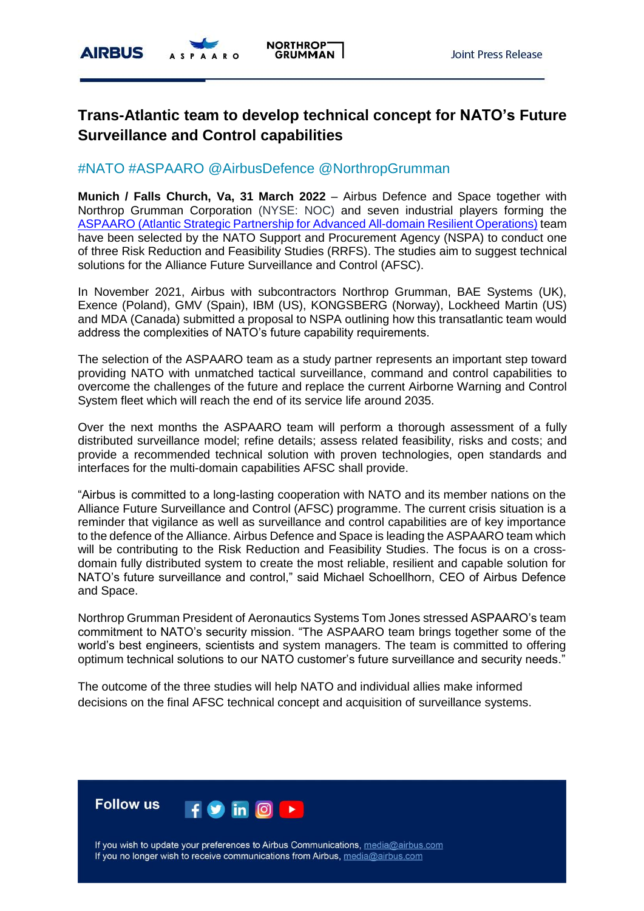

# **Trans-Atlantic team to develop technical concept for NATO's Future Surveillance and Control capabilities**

## #NATO #ASPAARO @AirbusDefence @NorthropGrumman

**Munich / Falls Church, Va, 31 March 2022** – Airbus Defence and Space together with Northrop Grumman Corporation (NYSE: NOC) and seven industrial players forming the ASPAARO [\(Atlantic Strategic Partnership for Advanced All-domain Resilient Operations\)](https://www.airbus.com/en/newsroom/press-releases/2021-11-airbus-and-northrop-grumman-lead-team-seeking-to-shape-natos-future) team have been selected by the NATO Support and Procurement Agency (NSPA) to conduct one of three Risk Reduction and Feasibility Studies (RRFS). The studies aim to suggest technical solutions for the Alliance Future Surveillance and Control (AFSC).

In November 2021, Airbus with subcontractors Northrop Grumman, BAE Systems (UK), Exence (Poland), GMV (Spain), IBM (US), KONGSBERG (Norway), Lockheed Martin (US) and MDA (Canada) submitted a proposal to NSPA outlining how this transatlantic team would address the complexities of NATO's future capability requirements.

The selection of the ASPAARO team as a study partner represents an important step toward providing NATO with unmatched tactical surveillance, command and control capabilities to overcome the challenges of the future and replace the current Airborne Warning and Control System fleet which will reach the end of its service life around 2035.

Over the next months the ASPAARO team will perform a thorough assessment of a fully distributed surveillance model; refine details; assess related feasibility, risks and costs; and provide a recommended technical solution with proven technologies, open standards and interfaces for the multi-domain capabilities AFSC shall provide.

"Airbus is committed to a long-lasting cooperation with NATO and its member nations on the Alliance Future Surveillance and Control (AFSC) programme. The current crisis situation is a reminder that vigilance as well as surveillance and control capabilities are of key importance to the defence of the Alliance. Airbus Defence and Space is leading the ASPAARO team which will be contributing to the Risk Reduction and Feasibility Studies. The focus is on a crossdomain fully distributed system to create the most reliable, resilient and capable solution for NATO's future surveillance and control," said Michael Schoellhorn, CEO of Airbus Defence and Space.

Northrop Grumman President of Aeronautics Systems Tom Jones stressed ASPAARO's team commitment to NATO's security mission. "The ASPAARO team brings together some of the world's best engineers, scientists and system managers. The team is committed to offering optimum technical solutions to our NATO customer's future surveillance and security needs."

The outcome of the three studies will help NATO and individual allies make informed decisions on the final AFSC technical concept and acquisition of surveillance systems.